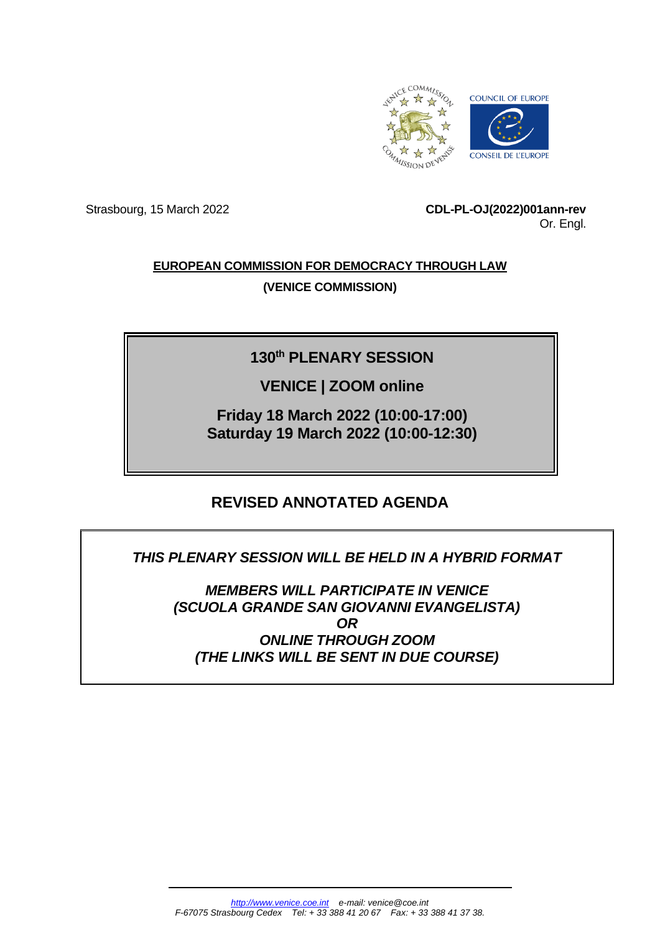

Strasbourg, 15 March 2022 **CDL-PL-OJ(2022)001ann-rev** Or. Engl.

# **EUROPEAN COMMISSION FOR DEMOCRACY THROUGH LAW (VENICE COMMISSION)**

# **130th PLENARY SESSION**

# **VENICE | ZOOM online**

**Friday 18 March 2022 (10:00-17:00) Saturday 19 March 2022 (10:00-12:30)**

# **REVISED ANNOTATED AGENDA**

# *THIS PLENARY SESSION WILL BE HELD IN A HYBRID FORMAT*

*MEMBERS WILL PARTICIPATE IN VENICE (SCUOLA GRANDE SAN GIOVANNI EVANGELISTA) OR ONLINE THROUGH ZOOM (THE LINKS WILL BE SENT IN DUE COURSE)*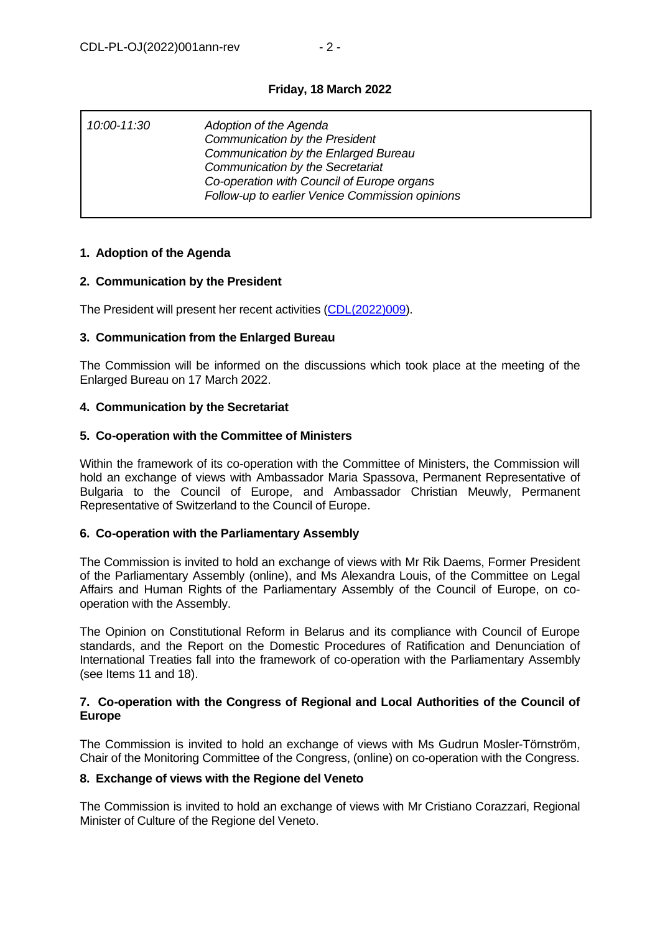# **Friday, 18 March 2022**

| 10:00-11:30 | Adoption of the Agenda<br>Communication by the President<br>Communication by the Enlarged Bureau<br>Communication by the Secretariat<br>Co-operation with Council of Europe organs<br>Follow-up to earlier Venice Commission opinions |
|-------------|---------------------------------------------------------------------------------------------------------------------------------------------------------------------------------------------------------------------------------------|
|             |                                                                                                                                                                                                                                       |

# **1. Adoption of the Agenda**

# **2. Communication by the President**

The President will present her recent activities [\(CDL\(2022\)009\)](http://www.venice.coe.int/webforms/documents/default.aspx?pdffile=CDL(2022)009).

# **3. Communication from the Enlarged Bureau**

The Commission will be informed on the discussions which took place at the meeting of the Enlarged Bureau on 17 March 2022.

# **4. Communication by the Secretariat**

# **5. Co-operation with the Committee of Ministers**

Within the framework of its co-operation with the Committee of Ministers, the Commission will hold an exchange of views with Ambassador Maria Spassova, Permanent Representative of Bulgaria to the Council of Europe, and Ambassador Christian Meuwly, Permanent Representative of Switzerland to the Council of Europe.

# **6. Co-operation with the Parliamentary Assembly**

The Commission is invited to hold an exchange of views with Mr Rik Daems, Former President of the Parliamentary Assembly (online), and Ms Alexandra Louis, of the Committee on Legal Affairs and Human Rights of the Parliamentary Assembly of the Council of Europe, on cooperation with the Assembly.

The Opinion on Constitutional Reform in Belarus and its compliance with Council of Europe standards, and the Report on the Domestic Procedures of Ratification and Denunciation of International Treaties fall into the framework of co-operation with the Parliamentary Assembly (see Items 11 and 18).

# **7. Co-operation with the Congress of Regional and Local Authorities of the Council of Europe**

The Commission is invited to hold an exchange of views with Ms Gudrun Mosler-Törnström, Chair of the Monitoring Committee of the Congress, (online) on co-operation with the Congress.

# **8. Exchange of views with the Regione del Veneto**

The Commission is invited to hold an exchange of views with Mr Cristiano Corazzari, Regional Minister of Culture of the Regione del Veneto.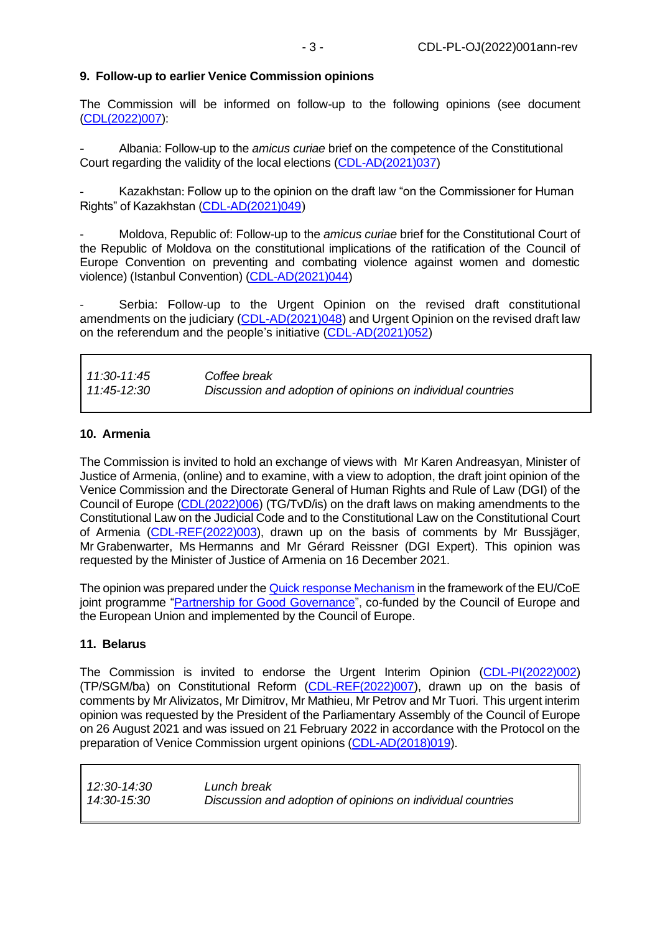# **9. Follow-up to earlier Venice Commission opinions**

The Commission will be informed on follow-up to the following opinions (see document [\(CDL\(2022\)007\)](http://www.venice.coe.int/webforms/documents/default.aspx?pdffile=CDL(2022)007):

- Albania: Follow-up to the *amicus curiae* brief on the competence of the Constitutional Court regarding the validity of the local elections [\(CDL-AD\(2021\)037\)](https://www.venice.coe.int/webforms/documents/?pdf=CDL-AD(2021)037-e)

Kazakhstan: Follow up to the opinion on the draft law "on the Commissioner for Human Rights" of Kazakhstan [\(CDL-AD\(2021\)049](http://www.venice.coe.int/webforms/documents/default.aspx?pdffile=CDL-AD(2021)049))

- Moldova, Republic of: Follow-up to the *amicus curiae* brief for the Constitutional Court of the Republic of Moldova on the constitutional implications of the ratification of the Council of Europe Convention on preventing and combating violence against women and domestic violence) (Istanbul Convention) [\(CDL-AD\(2021\)044\)](http://www.venice.coe.int/webforms/documents/default.aspx?pdffile=CDL-AD(2021)044)

Serbia: Follow-up to the Urgent Opinion on the revised draft constitutional amendments on the judiciary [\(CDL-AD\(2021\)048\)](http://www.venice.coe.int/webforms/documents/default.aspx?pdffile=CDL-AD(2021)048) and Urgent Opinion on the revised draft law on the referendum and the people's initiative [\(CDL-AD\(2021\)052\)](http://www.venice.coe.int/webforms/documents/default.aspx?pdffile=CDL-AD(2021)052)

| 11:30-11:45 | Coffee break                                                |
|-------------|-------------------------------------------------------------|
| 11:45-12:30 | Discussion and adoption of opinions on individual countries |

#### **10. Armenia**

The Commission is invited to hold an exchange of views with Mr Karen Andreasyan, Minister of Justice of Armenia, (online) and to examine, with a view to adoption, the draft joint opinion of the Venice Commission and the Directorate General of Human Rights and Rule of Law (DGI) of the Council of Europe [\(CDL\(2022\)006\)](http://www.venice.coe.int/webforms/documents/default.aspx?pdffile=CDL(2022)006) (TG/TvD/is) on the draft laws on making amendments to the Constitutional Law on the Judicial Code and to the Constitutional Law on the Constitutional Court of Armenia [\(CDL-REF\(2022\)003\)](http://www.venice.coe.int/webforms/documents/default.aspx?pdffile=CDL-REF(2022)003), drawn up on the basis of comments by Mr Bussjäger, Mr Grabenwarter, Ms Hermanns and Mr Gérard Reissner (DGI Expert). This opinion was requested by the Minister of Justice of Armenia on 16 December 2021.

The opinion was prepared under the [Quick response Mechanism](https://pjp-eu.coe.int/en/web/pgg2/quick-response-mechanism) in the framework of the EU/CoE joint programme ["Partnership for Good Governance"](https://pjp-eu.coe.int/en/web/pgg2/home), co-funded by the Council of Europe and the European Union and implemented by the Council of Europe.

# **11. Belarus**

The Commission is invited to endorse the Urgent Interim Opinion [\(CDL-PI\(2022\)002\)](http://www.venice.coe.int/webforms/documents/default.aspx?pdffile=CDL-PI(2022)002) (TP/SGM/ba) on Constitutional Reform [\(CDL-REF\(2022\)007\)](http://www.venice.coe.int/webforms/documents/default.aspx?pdffile=CDL-REF(2022)007), drawn up on the basis of comments by Mr Alivizatos, Mr Dimitrov, Mr Mathieu, Mr Petrov and Mr Tuori. This urgent interim opinion was requested by the President of the Parliamentary Assembly of the Council of Europe on 26 August 2021 and was issued on 21 February 2022 in accordance with the Protocol on the preparation of Venice Commission urgent opinions [\(CDL-AD\(2018\)019\)](http://www.venice.coe.int/webforms/documents/default.aspx?pdffile=CDL-AD(2018)019).

| 12:30-14:30 | Lunch break                                                 |
|-------------|-------------------------------------------------------------|
| 14:30-15:30 | Discussion and adoption of opinions on individual countries |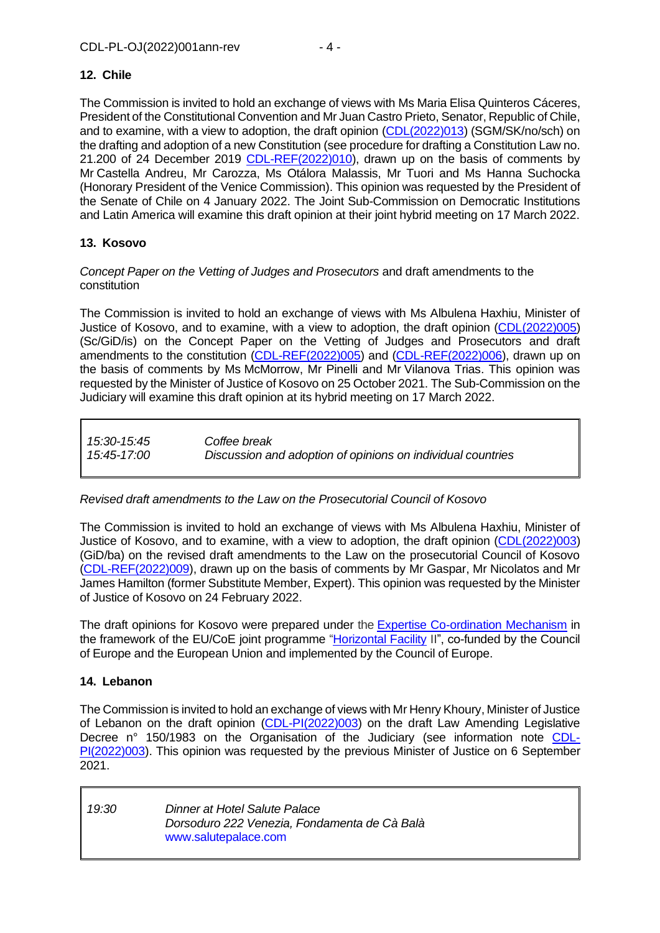# **12. Chile**

The Commission is invited to hold an exchange of views with Ms Maria Elisa Quinteros Cáceres, President of the Constitutional Convention and Mr Juan Castro Prieto, Senator, Republic of Chile, and to examine, with a view to adoption, the draft opinion [\(CDL\(2022\)013\)](http://www.venice.coe.int/webforms/documents/default.aspx?pdffile=CDL(2022)013) (SGM/SK/no/sch) on the drafting and adoption of a new Constitution (see procedure for drafting a Constitution Law no. 21.200 of 24 December 2019 [CDL-REF\(2022\)010\)](http://www.venice.coe.int/webforms/documents/default.aspx?pdffile=CDL-REF(2022)010), drawn up on the basis of comments by Mr Castella Andreu, Mr Carozza, Ms Otálora Malassis, Mr Tuori and Ms Hanna Suchocka (Honorary President of the Venice Commission). This opinion was requested by the President of the Senate of Chile on 4 January 2022. The Joint Sub-Commission on Democratic Institutions and Latin America will examine this draft opinion at their joint hybrid meeting on 17 March 2022.

# **13. Kosovo**

# *Concept Paper on the Vetting of Judges and Prosecutors* and draft amendments to the constitution

The Commission is invited to hold an exchange of views with Ms Albulena Haxhiu, Minister of Justice of Kosovo, and to examine, with a view to adoption, the draft opinion [\(CDL\(2022\)005\)](http://www.venice.coe.int/webforms/documents/default.aspx?pdffile=CDL(2022)005) (Sc/GiD/is) on the Concept Paper on the Vetting of Judges and Prosecutors and draft amendments to the constitution [\(CDL-REF\(2022\)005\)](http://www.venice.coe.int/webforms/documents/default.aspx?pdffile=CDL-REF(2022)005) and [\(CDL-REF\(2022\)006\)](http://www.venice.coe.int/webforms/documents/default.aspx?pdffile=CDL-REF(2022)006), drawn up on the basis of comments by Ms McMorrow, Mr Pinelli and Mr Vilanova Trias. This opinion was requested by the Minister of Justice of Kosovo on 25 October 2021. The Sub-Commission on the Judiciary will examine this draft opinion at its hybrid meeting on 17 March 2022.

# *15:30-15:45 Coffee break 15:45-17:00 Discussion and adoption of opinions on individual countries*

# *Revised draft amendments to the Law on the Prosecutorial Council of Kosovo*

The Commission is invited to hold an exchange of views with Ms Albulena Haxhiu, Minister of Justice of Kosovo, and to examine, with a view to adoption, the draft opinion [\(CDL\(2022\)003\)](http://www.venice.coe.int/webforms/documents/default.aspx?pdffile=CDL(2022)003) (GiD/ba) on the revised draft amendments to the Law on the prosecutorial Council of Kosovo [\(CDL-REF\(2022\)009\)](http://www.venice.coe.int/webforms/documents/default.aspx?pdffile=CDL-REF(2022)009), drawn up on the basis of comments by Mr Gaspar, Mr Nicolatos and Mr James Hamilton (former Substitute Member, Expert). This opinion was requested by the Minister of Justice of Kosovo on 24 February 2022.

The draft opinions for Kosovo were prepared under the [Expertise Co-ordination Mechanism](https://pjp-eu.coe.int/en/web/horizontal-facility/ecm) in the framework of the EU/CoE joint programme ["Horizontal Facility](https://pjp-eu.coe.int/en/web/horizontal-facility) II", co-funded by the Council of Europe and the European Union and implemented by the Council of Europe.

# **14. Lebanon**

The Commission is invited to hold an exchange of views with Mr Henry Khoury, Minister of Justice of Lebanon on the draft opinion [\(CDL-PI\(2022\)003\)](http://www.venice.coe.int/webforms/documents/default.aspx?pdffile=CDL-PI(2022)003) on the draft Law Amending Legislative Decree n° 150/1983 on the Organisation of the Judiciary (see information note [CDL-](http://www.venice.coe.int/webforms/documents/default.aspx?pdffile=CDL-PI(2022)003)[PI\(2022\)003\)](http://www.venice.coe.int/webforms/documents/default.aspx?pdffile=CDL-PI(2022)003). This opinion was requested by the previous Minister of Justice on 6 September 2021.

*19:30 Dinner at Hotel Salute Palace Dorsoduro 222 Venezia, Fondamenta de Cà Balà* [www.salutepalace.com](http://www.salutepalace.com/)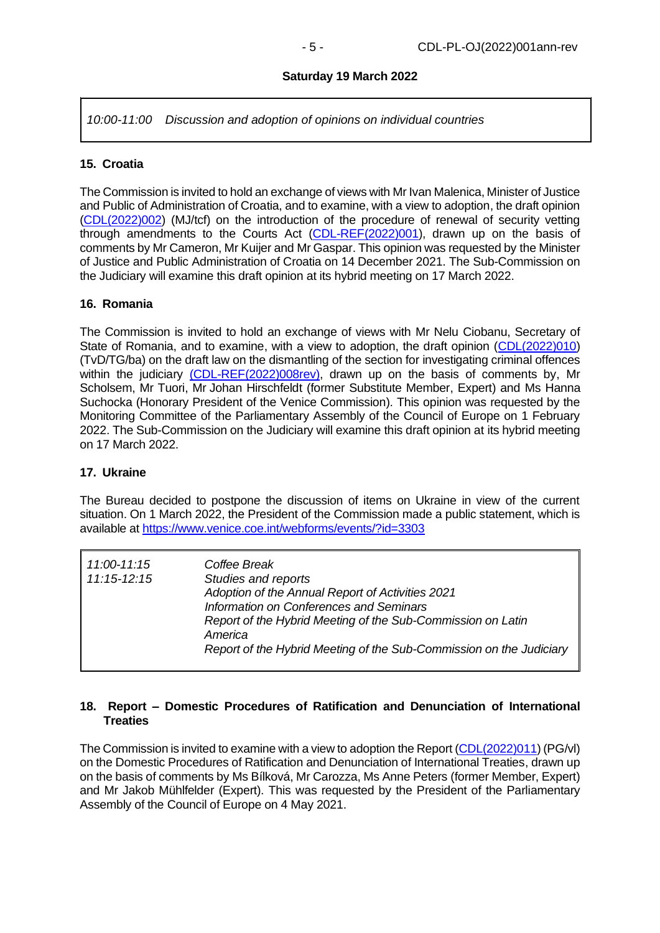#### **Saturday 19 March 2022**

*10:00-11:00 Discussion and adoption of opinions on individual countries*

#### **15. Croatia**

The Commission is invited to hold an exchange of views with Mr Ivan Malenica, Minister of Justice and Public of Administration of Croatia, and to examine, with a view to adoption, the draft opinion [\(CDL\(2022\)002\)](http://www.venice.coe.int/webforms/documents/default.aspx?pdffile=CDL(2022)002) (MJ/tcf) on the introduction of the procedure of renewal of security vetting through amendments to the Courts Act [\(CDL-REF\(2022\)001\)](http://www.venice.coe.int/webforms/documents/default.aspx?pdffile=CDL-REF(2022)001), drawn up on the basis of comments by Mr Cameron, Mr Kuijer and Mr Gaspar. This opinion was requested by the Minister of Justice and Public Administration of Croatia on 14 December 2021. The Sub-Commission on the Judiciary will examine this draft opinion at its hybrid meeting on 17 March 2022.

#### **16. Romania**

The Commission is invited to hold an exchange of views with Mr Nelu Ciobanu, Secretary of State of Romania, and to examine, with a view to adoption, the draft opinion [\(CDL\(2022\)010\)](http://www.venice.coe.int/webforms/documents/default.aspx?pdffile=CDL(2022)010) (TvD/TG/ba) on the draft law on the dismantling of the section for investigating criminal offences within the judiciary [\(CDL-REF\(2022\)008rev\),](https://www.venice.coe.int/webforms/documents/?pdf=CDL-REF(2022)008rev-e) drawn up on the basis of comments by, Mr Scholsem, Mr Tuori, Mr Johan Hirschfeldt (former Substitute Member, Expert) and Ms Hanna Suchocka (Honorary President of the Venice Commission). This opinion was requested by the Monitoring Committee of the Parliamentary Assembly of the Council of Europe on 1 February 2022. The Sub-Commission on the Judiciary will examine this draft opinion at its hybrid meeting on 17 March 2022.

#### **17. Ukraine**

The Bureau decided to postpone the discussion of items on Ukraine in view of the current situation. On 1 March 2022, the President of the Commission made a public statement, which is available at<https://www.venice.coe.int/webforms/events/?id=3303>

| 11:00-11:15 | Coffee Break                                                            |
|-------------|-------------------------------------------------------------------------|
| 11:15-12:15 | Studies and reports<br>Adoption of the Annual Report of Activities 2021 |
|             |                                                                         |
|             | Information on Conferences and Seminars                                 |
|             | Report of the Hybrid Meeting of the Sub-Commission on Latin<br>America  |
|             | Report of the Hybrid Meeting of the Sub-Commission on the Judiciary     |

#### **18. Report – Domestic Procedures of Ratification and Denunciation of International Treaties**

The Commission is invited to examine with a view to adoption the Report [\(CDL\(2022\)011\)](http://www.venice.coe.int/webforms/documents/default.aspx?pdffile=CDL(2022)011) (PG/vl) on the Domestic Procedures of Ratification and Denunciation of International Treaties, drawn up on the basis of comments by Ms Bílková, Mr Carozza, Ms Anne Peters (former Member, Expert) and Mr Jakob Mühlfelder (Expert). This was requested by the President of the Parliamentary Assembly of the Council of Europe on 4 May 2021.